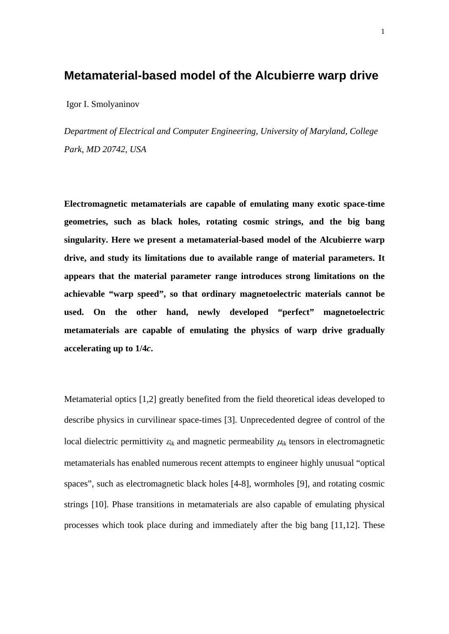## **Metamaterial-based model of the Alcubierre warp drive**

Igor I. Smolyaninov

*Department of Electrical and Computer Engineering, University of Maryland, College Park, MD 20742, USA* 

**Electromagnetic metamaterials are capable of emulating many exotic space-time geometries, such as black holes, rotating cosmic strings, and the big bang singularity. Here we present a metamaterial-based model of the Alcubierre warp drive, and study its limitations due to available range of material parameters. It appears that the material parameter range introduces strong limitations on the achievable "warp speed", so that ordinary magnetoelectric materials cannot be used. On the other hand, newly developed "perfect" magnetoelectric metamaterials are capable of emulating the physics of warp drive gradually accelerating up to 1/4***c***.** 

Metamaterial optics [1,2] greatly benefited from the field theoretical ideas developed to describe physics in curvilinear space-times [3]. Unprecedented degree of control of the local dielectric permittivity  $\varepsilon_{ik}$  and magnetic permeability  $\mu_{ik}$  tensors in electromagnetic metamaterials has enabled numerous recent attempts to engineer highly unusual "optical spaces", such as electromagnetic black holes [4-8], wormholes [9], and rotating cosmic strings [10]. Phase transitions in metamaterials are also capable of emulating physical processes which took place during and immediately after the big bang [11,12]. These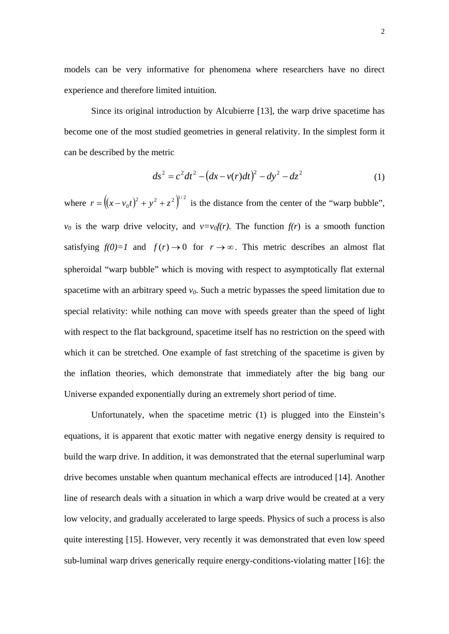models can be very informative for phenomena where researchers have no direct experience and therefore limited intuition.

 Since its original introduction by Alcubierre [13], the warp drive spacetime has become one of the most studied geometries in general relativity. In the simplest form it can be described by the metric

$$
ds^{2} = c^{2}dt^{2} - (dx - v(r)dt)^{2} - dy^{2} - dz^{2}
$$
 (1)

where  $r = ((x - v_0 t)^2 + y^2 + z^2)^{1/2}$  is the distance from the center of the "warp bubble",  $v_0$  is the warp drive velocity, and  $v=v_0f(r)$ . The function  $f(r)$  is a smooth function satisfying  $f(0)=1$  and  $f(r) \rightarrow 0$  for  $r \rightarrow \infty$ . This metric describes an almost flat spheroidal "warp bubble" which is moving with respect to asymptotically flat external spacetime with an arbitrary speed  $v_0$ . Such a metric bypasses the speed limitation due to special relativity: while nothing can move with speeds greater than the speed of light with respect to the flat background, spacetime itself has no restriction on the speed with which it can be stretched. One example of fast stretching of the spacetime is given by the inflation theories, which demonstrate that immediately after the big bang our Universe expanded exponentially during an extremely short period of time.

Unfortunately, when the spacetime metric (1) is plugged into the Einstein's equations, it is apparent that exotic matter with negative energy density is required to build the warp drive. In addition, it was demonstrated that the eternal superluminal warp drive becomes unstable when quantum mechanical effects are introduced [14]. Another line of research deals with a situation in which a warp drive would be created at a very low velocity, and gradually accelerated to large speeds. Physics of such a process is also quite interesting [15]. However, very recently it was demonstrated that even low speed sub-luminal warp drives generically require energy-conditions-violating matter [16]: the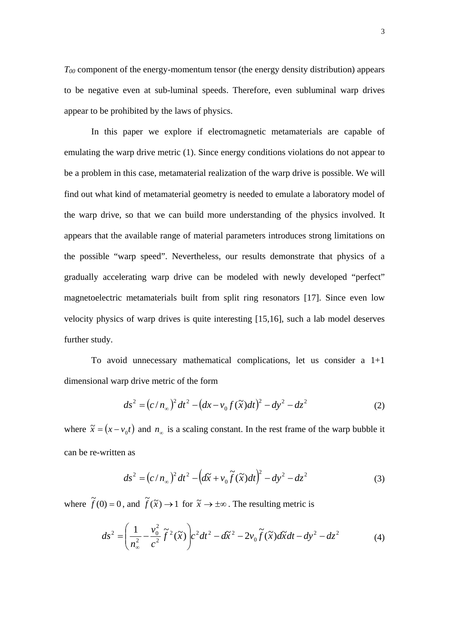$T_{00}$  component of the energy-momentum tensor (the energy density distribution) appears to be negative even at sub-luminal speeds. Therefore, even subluminal warp drives appear to be prohibited by the laws of physics.

In this paper we explore if electromagnetic metamaterials are capable of emulating the warp drive metric (1). Since energy conditions violations do not appear to be a problem in this case, metamaterial realization of the warp drive is possible. We will find out what kind of metamaterial geometry is needed to emulate a laboratory model of the warp drive, so that we can build more understanding of the physics involved. It appears that the available range of material parameters introduces strong limitations on the possible "warp speed". Nevertheless, our results demonstrate that physics of a gradually accelerating warp drive can be modeled with newly developed "perfect" magnetoelectric metamaterials built from split ring resonators [17]. Since even low velocity physics of warp drives is quite interesting [15,16], such a lab model deserves further study.

To avoid unnecessary mathematical complications, let us consider a 1+1 dimensional warp drive metric of the form

$$
ds^{2} = (c/n_{\infty})^{2} dt^{2} - (dx - v_{0}f(\tilde{x})dt)^{2} - dy^{2} - dz^{2}
$$
 (2)

where  $\tilde{x} = (x - v_0 t)$  and  $n_\infty$  is a scaling constant. In the rest frame of the warp bubble it can be re-written as

$$
ds^{2} = (c/n_{\infty})^{2} dt^{2} - (d\tilde{x} + v_{0} \tilde{f}(\tilde{x}) dt)^{2} - dy^{2} - dz^{2}
$$
 (3)

where  $\tilde{f}(0) = 0$ , and  $\tilde{f}(\tilde{x}) \rightarrow 1$  for  $\tilde{x} \rightarrow \pm \infty$ . The resulting metric is

$$
ds^2 = \left(\frac{1}{n_\infty^2} - \frac{v_0^2}{c^2}\tilde{f}^2(\tilde{x})\right)c^2dt^2 - d\tilde{x}^2 - 2v_0\tilde{f}(\tilde{x})d\tilde{x}dt - dy^2 - dz^2\tag{4}
$$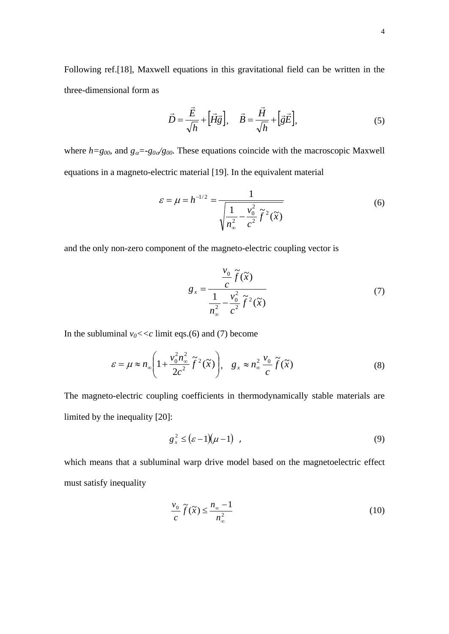Following ref.[18], Maxwell equations in this gravitational field can be written in the three-dimensional form as

$$
\vec{D} = \frac{\vec{E}}{\sqrt{h}} + \left[\vec{H}\vec{g}\right], \quad \vec{B} = \frac{\vec{H}}{\sqrt{h}} + \left[\vec{g}\vec{E}\right],\tag{5}
$$

where  $h = g_{00}$ , and  $g_{\alpha} = -g_{0\alpha}/g_{00}$ . These equations coincide with the macroscopic Maxwell equations in a magneto-electric material [19]. In the equivalent material

$$
\varepsilon = \mu = h^{-1/2} = \frac{1}{\sqrt{\frac{1}{n_{\infty}^{2}} - \frac{v_{0}^{2}}{c^{2}} \tilde{f}^{2}(\tilde{x})}}
$$
(6)

and the only non-zero component of the magneto-electric coupling vector is

$$
g_x = \frac{\frac{v_0}{c}\tilde{f}(\tilde{x})}{\frac{1}{n_\infty^2} - \frac{v_0^2}{c^2}\tilde{f}^2(\tilde{x})}
$$
(7)

In the subluminal  $v_0 \ll c$  limit eqs.(6) and (7) become

$$
\varepsilon = \mu \approx n_{\infty} \left( 1 + \frac{v_0^2 n_{\infty}^2}{2c^2} \tilde{f}^2(\tilde{x}) \right), \quad g_x \approx n_{\infty}^2 \frac{v_0}{c} \tilde{f}(\tilde{x}) \tag{8}
$$

The magneto-electric coupling coefficients in thermodynamically stable materials are limited by the inequality [20]:

$$
g_x^2 \le \left(\varepsilon - 1\right)\left(\mu - 1\right) \tag{9}
$$

which means that a subluminal warp drive model based on the magnetoelectric effect must satisfy inequality

$$
\frac{v_0}{c}\tilde{f}(\tilde{x}) \le \frac{n_{\infty} - 1}{n_{\infty}^2} \tag{10}
$$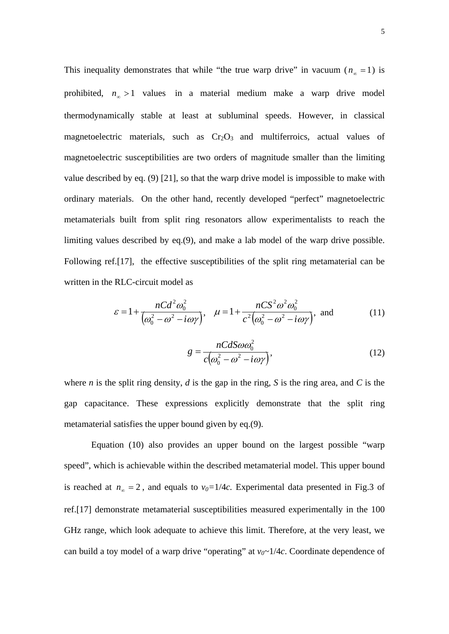This inequality demonstrates that while "the true warp drive" in vacuum  $(n_{\infty} = 1)$  is prohibited,  $n_{\infty} > 1$  values in a material medium make a warp drive model thermodynamically stable at least at subluminal speeds. However, in classical magnetoelectric materials, such as  $Cr<sub>2</sub>O<sub>3</sub>$  and multiferroics, actual values of magnetoelectric susceptibilities are two orders of magnitude smaller than the limiting value described by eq. (9) [21], so that the warp drive model is impossible to make with ordinary materials. On the other hand, recently developed "perfect" magnetoelectric metamaterials built from split ring resonators allow experimentalists to reach the limiting values described by eq.(9), and make a lab model of the warp drive possible. Following ref.[17], the effective susceptibilities of the split ring metamaterial can be written in the RLC-circuit model as

$$
\varepsilon = 1 + \frac{nCd^2\omega_0^2}{\left(\omega_0^2 - \omega^2 - i\omega\gamma\right)}, \quad \mu = 1 + \frac{nCS^2\omega^2\omega_0^2}{c^2\left(\omega_0^2 - \omega^2 - i\omega\gamma\right)}, \text{ and} \tag{11}
$$

$$
g = \frac{nCd\omega_0^2}{c(\omega_0^2 - \omega^2 - i\omega\gamma)},
$$
\n(12)

where *n* is the split ring density, *d* is the gap in the ring, *S* is the ring area, and *C* is the gap capacitance. These expressions explicitly demonstrate that the split ring metamaterial satisfies the upper bound given by eq.(9).

 Equation (10) also provides an upper bound on the largest possible "warp speed", which is achievable within the described metamaterial model. This upper bound is reached at  $n_{\infty} = 2$ , and equals to  $v_0 = 1/4c$ . Experimental data presented in Fig.3 of ref.[17] demonstrate metamaterial susceptibilities measured experimentally in the 100 GHz range, which look adequate to achieve this limit. Therefore, at the very least, we can build a toy model of a warp drive "operating" at  $v_0 \sim 1/4c$ . Coordinate dependence of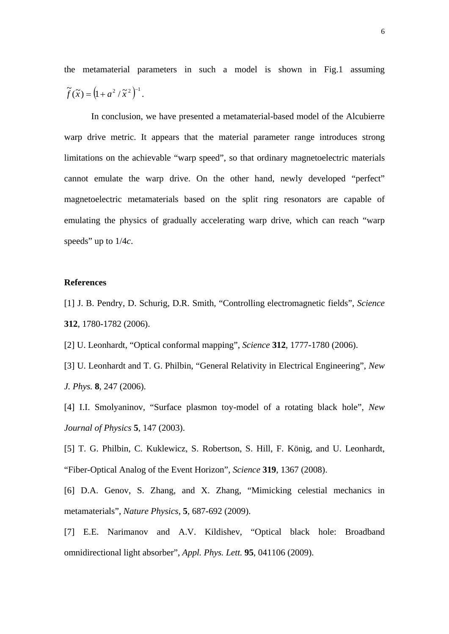the metamaterial parameters in such a model is shown in Fig.1 assuming  $\widetilde{f}(\widetilde{x}) = (1 + a^2 / \widetilde{x}^2)^{-1}.$ 

 In conclusion, we have presented a metamaterial-based model of the Alcubierre warp drive metric. It appears that the material parameter range introduces strong limitations on the achievable "warp speed", so that ordinary magnetoelectric materials cannot emulate the warp drive. On the other hand, newly developed "perfect" magnetoelectric metamaterials based on the split ring resonators are capable of emulating the physics of gradually accelerating warp drive, which can reach "warp speeds" up to 1/4*c*.

## **References**

- [1] J. B. Pendry, D. Schurig, D.R. Smith, "Controlling electromagnetic fields", *Science*  **312**, 1780-1782 (2006).
- [2] U. Leonhardt, "Optical conformal mapping", *Science* **312**, 1777-1780 (2006).
- [3] U. Leonhardt and T. G. Philbin, "General Relativity in Electrical Engineering", *New J. Phys.* **8**, 247 (2006).
- [4] I.I. Smolyaninov, "Surface plasmon toy-model of a rotating black hole", *New Journal of Physics* **5**, 147 (2003).
- [5] T. G. Philbin, C. Kuklewicz, S. Robertson, S. Hill, F. König, and U. Leonhardt, "Fiber-Optical Analog of the Event Horizon", *Science* **319**, 1367 (2008).
- [6] D.A. Genov, S. Zhang, and X. Zhang, "Mimicking celestial mechanics in metamaterials", *Nature Physics*, **5**, 687-692 (2009).
- [7] E.E. Narimanov and A.V. Kildishev, "Optical black hole: Broadband omnidirectional light absorber", *Appl. Phys. Lett.* **95**, 041106 (2009).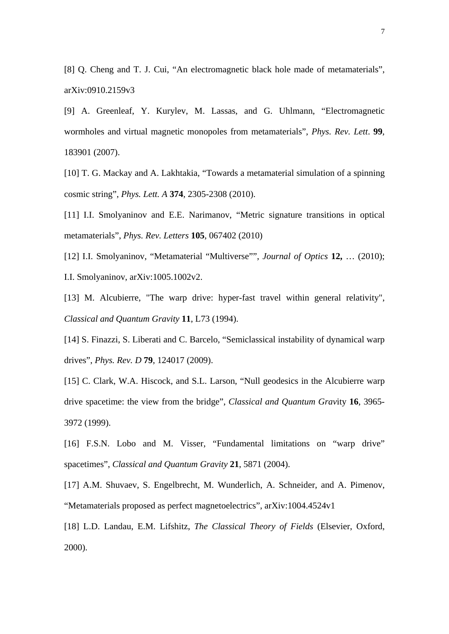[8] Q. Cheng and T. J. Cui, "An electromagnetic black hole made of metamaterials", arXiv:0910.2159v3

[9] A. Greenleaf, Y. Kurylev, M. Lassas, and G. Uhlmann, "Electromagnetic wormholes and virtual magnetic monopoles from metamaterials", *Phys. Rev. Lett*. **99**, 183901 (2007).

[10] T. G. Mackay and A. Lakhtakia, "Towards a metamaterial simulation of a spinning cosmic string", *Phys. Lett. A* **374**, 2305-2308 (2010).

[11] I.I. Smolyaninov and E.E. Narimanov, "Metric signature transitions in optical metamaterials", *Phys. Rev. Letters* **105**, 067402 (2010)

[12] I.I. Smolyaninov, "Metamaterial "Multiverse"", *Journal of Optics* **12,** … (2010); I.I. Smolyaninov, arXiv:1005.1002v2.

[13] M. Alcubierre, "The warp drive: hyper-fast travel within general relativity", *Classical and Quantum Gravity* **11**, L73 (1994).

[14] S. Finazzi, S. Liberati and C. Barcelo, "Semiclassical instability of dynamical warp drives", *Phys. Rev. D* **79**, 124017 (2009).

[15] C. Clark, W.A. Hiscock, and S.L. Larson, "Null geodesics in the Alcubierre warp drive spacetime: the view from the bridge", *Classical and Quantum Grav*ity **16**, 3965- 3972 (1999).

[16] F.S.N. Lobo and M. Visser, "Fundamental limitations on "warp drive" spacetimes", *Classical and Quantum Gravity* **21**, 5871 (2004).

[17] A.M. Shuvaev, S. Engelbrecht, M. Wunderlich, A. Schneider, and A. Pimenov, "Metamaterials proposed as perfect magnetoelectrics", arXiv:1004.4524v1

[18] L.D. Landau, E.M. Lifshitz, *The Classical Theory of Fields* (Elsevier, Oxford, 2000).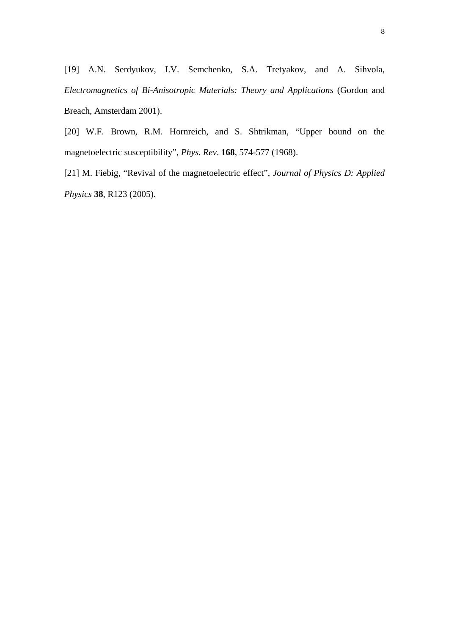[19] A.N. Serdyukov, I.V. Semchenko, S.A. Tretyakov, and A. Sihvola, *Electromagnetics of Bi-Anisotropic Materials: Theory and Applications* (Gordon and Breach, Amsterdam 2001).

[20] W.F. Brown, R.M. Hornreich, and S. Shtrikman, "Upper bound on the magnetoelectric susceptibility", *Phys. Rev*. **168**, 574-577 (1968).

[21] M. Fiebig, "Revival of the magnetoelectric effect", *Journal of Physics D: Applied Physics* **38**, R123 (2005).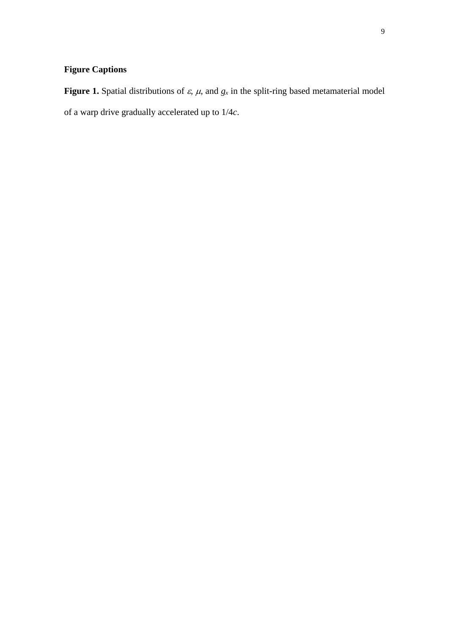## **Figure Captions**

**Figure 1.** Spatial distributions of  $\varepsilon$ ,  $\mu$ , and  $g_x$  in the split-ring based metamaterial model of a warp drive gradually accelerated up to 1/4*c*.